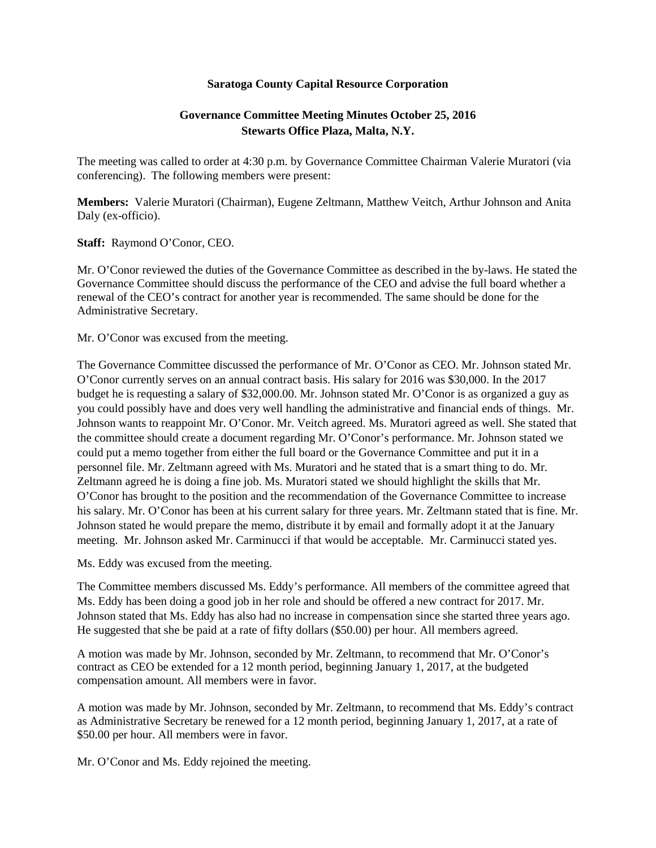## **Saratoga County Capital Resource Corporation**

## **Governance Committee Meeting Minutes October 25, 2016 Stewarts Office Plaza, Malta, N.Y.**

The meeting was called to order at 4:30 p.m. by Governance Committee Chairman Valerie Muratori (via conferencing). The following members were present:

**Members:** Valerie Muratori (Chairman), Eugene Zeltmann, Matthew Veitch, Arthur Johnson and Anita Daly (ex-officio).

**Staff:** Raymond O'Conor, CEO.

Mr. O'Conor reviewed the duties of the Governance Committee as described in the by-laws. He stated the Governance Committee should discuss the performance of the CEO and advise the full board whether a renewal of the CEO's contract for another year is recommended. The same should be done for the Administrative Secretary.

Mr. O'Conor was excused from the meeting.

The Governance Committee discussed the performance of Mr. O'Conor as CEO. Mr. Johnson stated Mr. O'Conor currently serves on an annual contract basis. His salary for 2016 was \$30,000. In the 2017 budget he is requesting a salary of \$32,000.00. Mr. Johnson stated Mr. O'Conor is as organized a guy as you could possibly have and does very well handling the administrative and financial ends of things. Mr. Johnson wants to reappoint Mr. O'Conor. Mr. Veitch agreed. Ms. Muratori agreed as well. She stated that the committee should create a document regarding Mr. O'Conor's performance. Mr. Johnson stated we could put a memo together from either the full board or the Governance Committee and put it in a personnel file. Mr. Zeltmann agreed with Ms. Muratori and he stated that is a smart thing to do. Mr. Zeltmann agreed he is doing a fine job. Ms. Muratori stated we should highlight the skills that Mr. O'Conor has brought to the position and the recommendation of the Governance Committee to increase his salary. Mr. O'Conor has been at his current salary for three years. Mr. Zeltmann stated that is fine. Mr. Johnson stated he would prepare the memo, distribute it by email and formally adopt it at the January meeting. Mr. Johnson asked Mr. Carminucci if that would be acceptable. Mr. Carminucci stated yes.

Ms. Eddy was excused from the meeting.

The Committee members discussed Ms. Eddy's performance. All members of the committee agreed that Ms. Eddy has been doing a good job in her role and should be offered a new contract for 2017. Mr. Johnson stated that Ms. Eddy has also had no increase in compensation since she started three years ago. He suggested that she be paid at a rate of fifty dollars (\$50.00) per hour. All members agreed.

A motion was made by Mr. Johnson, seconded by Mr. Zeltmann, to recommend that Mr. O'Conor's contract as CEO be extended for a 12 month period, beginning January 1, 2017, at the budgeted compensation amount. All members were in favor.

A motion was made by Mr. Johnson, seconded by Mr. Zeltmann, to recommend that Ms. Eddy's contract as Administrative Secretary be renewed for a 12 month period, beginning January 1, 2017, at a rate of \$50.00 per hour. All members were in favor.

Mr. O'Conor and Ms. Eddy rejoined the meeting.